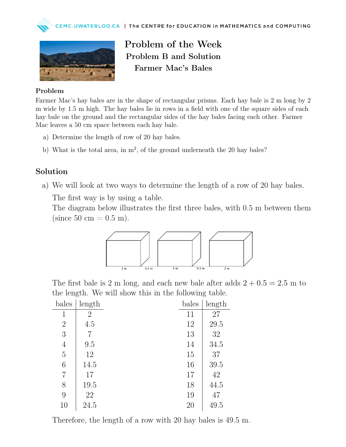



Problem of the Week Problem B and Solution Farmer Mac's Bales

## Problem

Farmer Mac's hay bales are in the shape of rectangular prisms. Each hay bale is 2 m long by 2 m wide by 1.5 m high. The hay bales lie in rows in a field with one of the square sides of each hay bale on the ground and the rectangular sides of the hay bales facing each other. Farmer Mac leaves a 50 cm space between each hay bale.

- a) Determine the length of row of 20 hay bales.
- b) What is the total area, in  $m^2$ , of the ground underneath the 20 hay bales?

## Solution

a) We will look at two ways to determine the length of a row of 20 hay bales.

The first way is by using a table.

The diagram below illustrates the first three bales, with 0.5 m between them (since 50 cm  $= 0.5$  m).



The first bale is 2 m long, and each new bale after adds  $2 + 0.5 = 2.5$  m to the length. We will show this in the following table.

| bales          | length         | bales | length |
|----------------|----------------|-------|--------|
| 1              | $\overline{2}$ | 11    | 27     |
| $\overline{2}$ | 4.5            | 12    | 29.5   |
| 3              |                | 13    | 32     |
| $\overline{4}$ | 9.5            | 14    | 34.5   |
| $\overline{5}$ | 12             | 15    | 37     |
| 6              | 14.5           | 16    | 39.5   |
| 7              | 17             | 17    | 42     |
| 8              | 19.5           | 18    | 44.5   |
| 9              | 22             | 19    | 47     |
| 10             | 24.5           | 20    | 49.5   |

Therefore, the length of a row with 20 hay bales is 49.5 m.